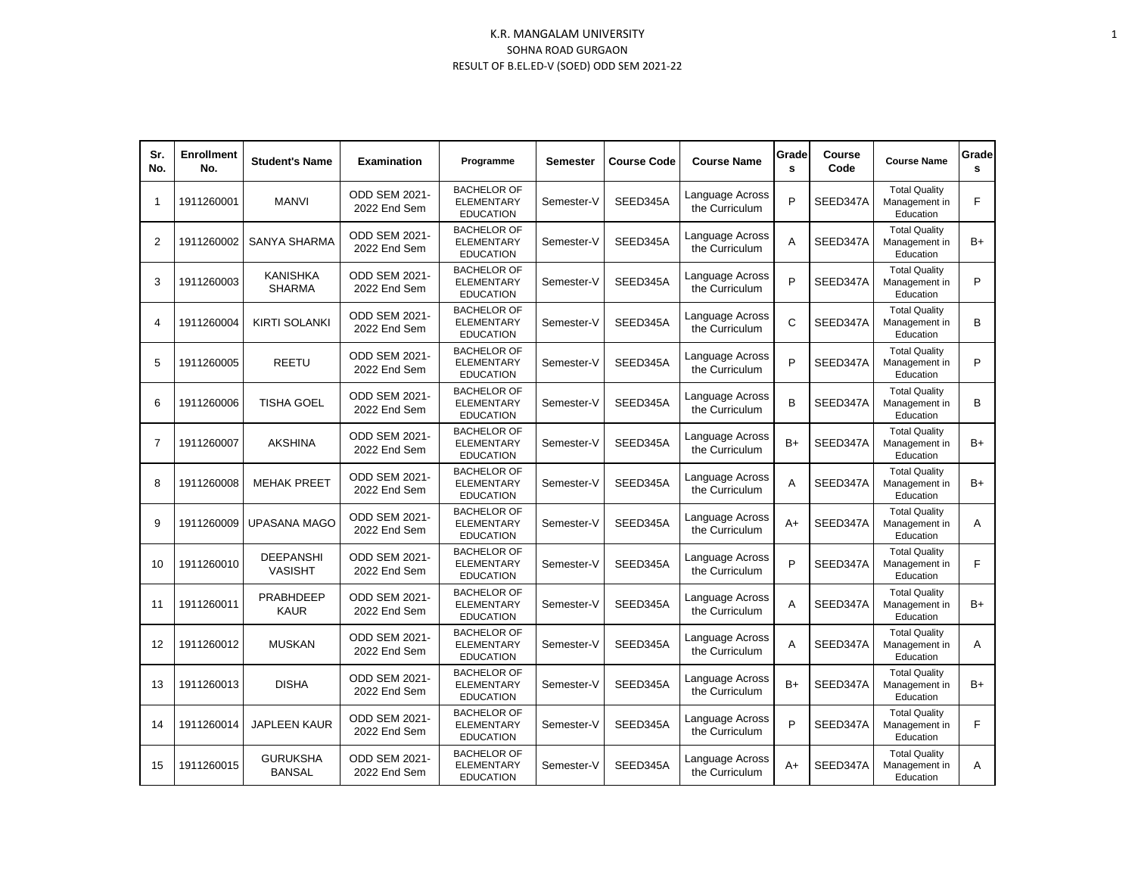## K.R. MANGALAM UNIVERSITY SOHNA ROAD GURGAON RESULT OF B.EL.ED-V (SOED) ODD SEM 2021-22

| Sr.<br>No.     | <b>Enrollment</b><br>No. | <b>Student's Name</b>              | <b>Examination</b>                   | Programme                                                   | <b>Semester</b> | <b>Course Code</b> | <b>Course Name</b>                | Grade<br>s | Course<br>Code | <b>Course Name</b>                                 | Grade<br>s |
|----------------|--------------------------|------------------------------------|--------------------------------------|-------------------------------------------------------------|-----------------|--------------------|-----------------------------------|------------|----------------|----------------------------------------------------|------------|
| 1              | 1911260001               | <b>MANVI</b>                       | <b>ODD SEM 2021-</b><br>2022 End Sem | <b>BACHELOR OF</b><br><b>ELEMENTARY</b><br><b>EDUCATION</b> | Semester-V      | SEED345A           | Language Across<br>the Curriculum | P          | SEED347A       | <b>Total Quality</b><br>Management in<br>Education | F          |
| 2              | 1911260002               | SANYA SHARMA                       | <b>ODD SEM 2021-</b><br>2022 End Sem | <b>BACHELOR OF</b><br><b>ELEMENTARY</b><br><b>EDUCATION</b> | Semester-V      | SEED345A           | Language Across<br>the Curriculum | A          | SEED347A       | <b>Total Quality</b><br>Management in<br>Education | $B+$       |
| 3              | 1911260003               | <b>KANISHKA</b><br><b>SHARMA</b>   | ODD SEM 2021-<br>2022 End Sem        | <b>BACHELOR OF</b><br><b>ELEMENTARY</b><br><b>EDUCATION</b> | Semester-V      | SEED345A           | Language Across<br>the Curriculum | P          | SEED347A       | <b>Total Quality</b><br>Management in<br>Education | P          |
| 4              | 1911260004               | <b>KIRTI SOLANKI</b>               | ODD SEM 2021-<br>2022 End Sem        | <b>BACHELOR OF</b><br><b>ELEMENTARY</b><br><b>EDUCATION</b> | Semester-V      | SEED345A           | Language Across<br>the Curriculum | C          | SEED347A       | <b>Total Quality</b><br>Management in<br>Education | B          |
| 5              | 1911260005               | REETU                              | ODD SEM 2021-<br>2022 End Sem        | <b>BACHELOR OF</b><br><b>ELEMENTARY</b><br><b>EDUCATION</b> | Semester-V      | SEED345A           | Language Across<br>the Curriculum | P          | SEED347A       | <b>Total Quality</b><br>Management in<br>Education | P          |
| 6              | 1911260006               | <b>TISHA GOEL</b>                  | <b>ODD SEM 2021-</b><br>2022 End Sem | <b>BACHELOR OF</b><br><b>ELEMENTARY</b><br><b>EDUCATION</b> | Semester-V      | SEED345A           | Language Across<br>the Curriculum | B          | SEED347A       | <b>Total Quality</b><br>Management in<br>Education | B          |
| $\overline{7}$ | 1911260007               | <b>AKSHINA</b>                     | <b>ODD SEM 2021-</b><br>2022 End Sem | <b>BACHELOR OF</b><br><b>ELEMENTARY</b><br><b>EDUCATION</b> | Semester-V      | SEED345A           | Language Across<br>the Curriculum | $B+$       | SEED347A       | <b>Total Quality</b><br>Management in<br>Education | $B+$       |
| 8              | 1911260008               | <b>MEHAK PREET</b>                 | <b>ODD SEM 2021-</b><br>2022 End Sem | <b>BACHELOR OF</b><br><b>ELEMENTARY</b><br><b>EDUCATION</b> | Semester-V      | SEED345A           | Language Across<br>the Curriculum | A          | SEED347A       | <b>Total Quality</b><br>Management in<br>Education | B+         |
| 9              | 1911260009               | <b>UPASANA MAGO</b>                | <b>ODD SEM 2021-</b><br>2022 End Sem | <b>BACHELOR OF</b><br><b>ELEMENTARY</b><br><b>EDUCATION</b> | Semester-V      | SEED345A           | Language Across<br>the Curriculum | $A+$       | SEED347A       | <b>Total Quality</b><br>Management in<br>Education | Α          |
| 10             | 1911260010               | <b>DEEPANSHI</b><br><b>VASISHT</b> | <b>ODD SEM 2021-</b><br>2022 End Sem | <b>BACHELOR OF</b><br><b>ELEMENTARY</b><br><b>EDUCATION</b> | Semester-V      | SEED345A           | Language Across<br>the Curriculum | P          | SEED347A       | <b>Total Quality</b><br>Management in<br>Education | F          |
| 11             | 1911260011               | <b>PRABHDEEP</b><br><b>KAUR</b>    | ODD SEM 2021-<br>2022 End Sem        | <b>BACHELOR OF</b><br><b>ELEMENTARY</b><br><b>EDUCATION</b> | Semester-V      | SEED345A           | Language Across<br>the Curriculum | A          | SEED347A       | <b>Total Quality</b><br>Management in<br>Education | $B+$       |
| 12             | 1911260012               | <b>MUSKAN</b>                      | <b>ODD SEM 2021-</b><br>2022 End Sem | <b>BACHELOR OF</b><br><b>ELEMENTARY</b><br><b>EDUCATION</b> | Semester-V      | SEED345A           | Language Across<br>the Curriculum | A          | SEED347A       | <b>Total Quality</b><br>Management in<br>Education | A          |
| 13             | 1911260013               | <b>DISHA</b>                       | ODD SEM 2021-<br>2022 End Sem        | <b>BACHELOR OF</b><br><b>ELEMENTARY</b><br><b>EDUCATION</b> | Semester-V      | SEED345A           | Language Across<br>the Curriculum | $B+$       | SEED347A       | <b>Total Quality</b><br>Management in<br>Education | $B+$       |
| 14             | 1911260014               | <b>JAPLEEN KAUR</b>                | ODD SEM 2021-<br>2022 End Sem        | <b>BACHELOR OF</b><br><b>ELEMENTARY</b><br><b>EDUCATION</b> | Semester-V      | SEED345A           | Language Across<br>the Curriculum | P          | SEED347A       | <b>Total Quality</b><br>Management in<br>Education | F          |
| 15             | 1911260015               | <b>GURUKSHA</b><br><b>BANSAL</b>   | <b>ODD SEM 2021-</b><br>2022 End Sem | <b>BACHELOR OF</b><br><b>ELEMENTARY</b><br><b>EDUCATION</b> | Semester-V      | SEED345A           | Language Across<br>the Curriculum | $A+$       | SEED347A       | <b>Total Quality</b><br>Management in<br>Education | Α          |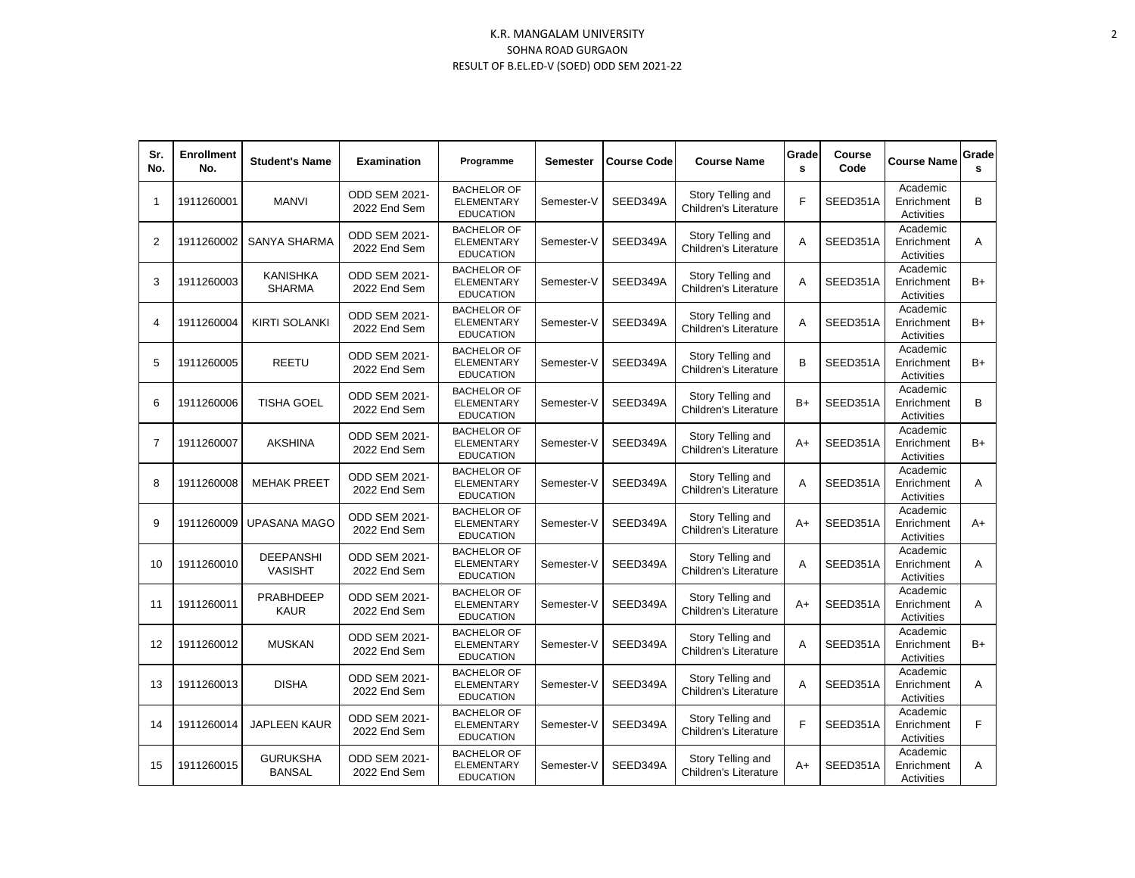## K.R. MANGALAM UNIVERSITY SOHNA ROAD GURGAON RESULT OF B.EL.ED-V (SOED) ODD SEM 2021-22

| Sr.<br>No.     | <b>Enrollment</b><br>No. | <b>Student's Name</b>              | <b>Examination</b>                   | Programme                                                   | Semester   | <b>Course Code</b> | <b>Course Name</b>                                | Grade<br>s | Course<br>Code | <b>Course Name</b>                   | Grade<br>s |
|----------------|--------------------------|------------------------------------|--------------------------------------|-------------------------------------------------------------|------------|--------------------|---------------------------------------------------|------------|----------------|--------------------------------------|------------|
| $\mathbf{1}$   | 1911260001               | <b>MANVI</b>                       | <b>ODD SEM 2021-</b><br>2022 End Sem | <b>BACHELOR OF</b><br><b>ELEMENTARY</b><br><b>EDUCATION</b> | Semester-V | SEED349A           | Story Telling and<br>Children's Literature        | F          | SEED351A       | Academic<br>Enrichment<br>Activities | B          |
| 2              | 1911260002               | SANYA SHARMA                       | ODD SEM 2021-<br>2022 End Sem        | <b>BACHELOR OF</b><br><b>ELEMENTARY</b><br><b>EDUCATION</b> | Semester-V | SEED349A           | Story Telling and<br><b>Children's Literature</b> | A          | SEED351A       | Academic<br>Enrichment<br>Activities | Α          |
| 3              | 1911260003               | KANISHKA<br><b>SHARMA</b>          | ODD SEM 2021-<br>2022 End Sem        | <b>BACHELOR OF</b><br><b>ELEMENTARY</b><br><b>EDUCATION</b> | Semester-V | SEED349A           | Story Telling and<br>Children's Literature        | A          | SEED351A       | Academic<br>Enrichment<br>Activities | $B+$       |
| 4              | 1911260004               | <b>KIRTI SOLANKI</b>               | <b>ODD SEM 2021-</b><br>2022 End Sem | <b>BACHELOR OF</b><br><b>ELEMENTARY</b><br><b>EDUCATION</b> | Semester-V | SEED349A           | Story Telling and<br><b>Children's Literature</b> | A          | SEED351A       | Academic<br>Enrichment<br>Activities | $B+$       |
| 5              | 1911260005               | <b>REETU</b>                       | <b>ODD SEM 2021-</b><br>2022 End Sem | <b>BACHELOR OF</b><br><b>ELEMENTARY</b><br><b>EDUCATION</b> | Semester-V | SEED349A           | Story Telling and<br><b>Children's Literature</b> | B          | SEED351A       | Academic<br>Enrichment<br>Activities | $B+$       |
| 6              | 1911260006               | <b>TISHA GOEL</b>                  | <b>ODD SEM 2021-</b><br>2022 End Sem | <b>BACHELOR OF</b><br><b>ELEMENTARY</b><br><b>EDUCATION</b> | Semester-V | SEED349A           | Story Telling and<br><b>Children's Literature</b> | $B+$       | SEED351A       | Academic<br>Enrichment<br>Activities | B          |
| $\overline{7}$ | 1911260007               | <b>AKSHINA</b>                     | <b>ODD SEM 2021-</b><br>2022 End Sem | <b>BACHELOR OF</b><br><b>ELEMENTARY</b><br><b>EDUCATION</b> | Semester-V | SEED349A           | Story Telling and<br><b>Children's Literature</b> | A+         | SEED351A       | Academic<br>Enrichment<br>Activities | $B+$       |
| 8              | 1911260008               | <b>MEHAK PREET</b>                 | ODD SEM 2021-<br>2022 End Sem        | <b>BACHELOR OF</b><br><b>ELEMENTARY</b><br><b>EDUCATION</b> | Semester-V | SEED349A           | Story Telling and<br><b>Children's Literature</b> | A          | SEED351A       | Academic<br>Enrichment<br>Activities | A          |
| 9              | 1911260009               | <b>UPASANA MAGO</b>                | <b>ODD SEM 2021-</b><br>2022 End Sem | <b>BACHELOR OF</b><br><b>ELEMENTARY</b><br><b>EDUCATION</b> | Semester-V | SEED349A           | Story Telling and<br>Children's Literature        | A+         | SEED351A       | Academic<br>Enrichment<br>Activities | $A+$       |
| 10             | 1911260010               | <b>DEEPANSHI</b><br><b>VASISHT</b> | <b>ODD SEM 2021-</b><br>2022 End Sem | <b>BACHELOR OF</b><br><b>ELEMENTARY</b><br><b>EDUCATION</b> | Semester-V | SEED349A           | Story Telling and<br><b>Children's Literature</b> | A          | SEED351A       | Academic<br>Enrichment<br>Activities | A          |
| 11             | 1911260011               | <b>PRABHDEEP</b><br><b>KAUR</b>    | ODD SEM 2021-<br>2022 End Sem        | <b>BACHELOR OF</b><br><b>ELEMENTARY</b><br><b>EDUCATION</b> | Semester-V | SEED349A           | Story Telling and<br>Children's Literature        | A+         | SEED351A       | Academic<br>Enrichment<br>Activities | A          |
| 12             | 1911260012               | <b>MUSKAN</b>                      | <b>ODD SEM 2021-</b><br>2022 End Sem | <b>BACHELOR OF</b><br><b>ELEMENTARY</b><br><b>EDUCATION</b> | Semester-V | SEED349A           | Story Telling and<br><b>Children's Literature</b> | A          | SEED351A       | Academic<br>Enrichment<br>Activities | $B+$       |
| 13             | 1911260013               | <b>DISHA</b>                       | <b>ODD SEM 2021-</b><br>2022 End Sem | <b>BACHELOR OF</b><br><b>ELEMENTARY</b><br><b>EDUCATION</b> | Semester-V | SEED349A           | Story Telling and<br>Children's Literature        | A          | SEED351A       | Academic<br>Enrichment<br>Activities | A          |
| 14             | 1911260014               | <b>JAPLEEN KAUR</b>                | ODD SEM 2021-<br>2022 End Sem        | <b>BACHELOR OF</b><br><b>ELEMENTARY</b><br><b>EDUCATION</b> | Semester-V | SEED349A           | Story Telling and<br>Children's Literature        | F          | SEED351A       | Academic<br>Enrichment<br>Activities | F          |
| 15             | 1911260015               | <b>GURUKSHA</b><br><b>BANSAL</b>   | <b>ODD SEM 2021-</b><br>2022 End Sem | <b>BACHELOR OF</b><br><b>ELEMENTARY</b><br><b>EDUCATION</b> | Semester-V | SEED349A           | Story Telling and<br><b>Children's Literature</b> | A+         | SEED351A       | Academic<br>Enrichment<br>Activities | Α          |